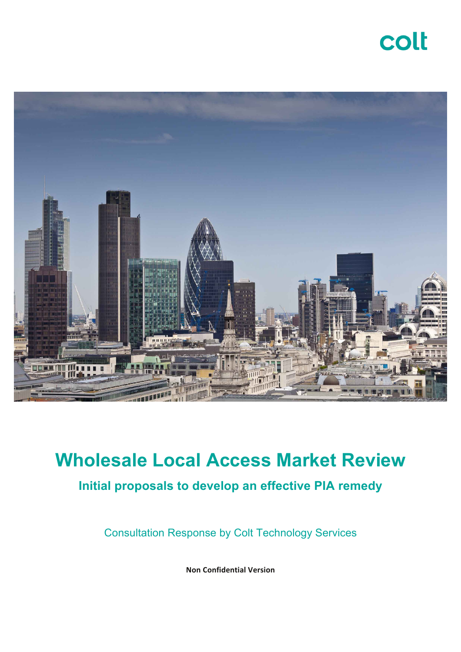# colt



# **Wholesale Local Access Market Review**

### **Initial proposals to develop an effective PIA remedy**

Consultation Response by Colt Technology Services

**Non Confidential Version**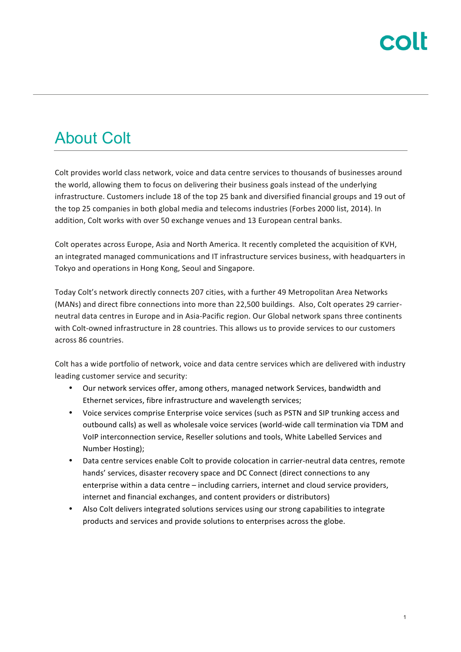## About Colt

Colt provides world class network, voice and data centre services to thousands of businesses around the world, allowing them to focus on delivering their business goals instead of the underlying infrastructure. Customers include 18 of the top 25 bank and diversified financial groups and 19 out of the top 25 companies in both global media and telecoms industries (Forbes 2000 list, 2014). In addition, Colt works with over 50 exchange venues and 13 European central banks.

Colt operates across Europe, Asia and North America. It recently completed the acquisition of KVH, an integrated managed communications and IT infrastructure services business, with headquarters in Tokyo and operations in Hong Kong, Seoul and Singapore.

Today Colt's network directly connects 207 cities, with a further 49 Metropolitan Area Networks (MANs) and direct fibre connections into more than 22,500 buildings. Also, Colt operates 29 carrierneutral data centres in Europe and in Asia-Pacific region. Our Global network spans three continents with Colt-owned infrastructure in 28 countries. This allows us to provide services to our customers across 86 countries.

Colt has a wide portfolio of network, voice and data centre services which are delivered with industry leading customer service and security:

- Our network services offer, among others, managed network Services, bandwidth and Ethernet services, fibre infrastructure and wavelength services;
- Voice services comprise Enterprise voice services (such as PSTN and SIP trunking access and outbound calls) as well as wholesale voice services (world-wide call termination via TDM and VoIP interconnection service, Reseller solutions and tools, White Labelled Services and Number Hosting);
- Data centre services enable Colt to provide colocation in carrier-neutral data centres, remote hands' services, disaster recovery space and DC Connect (direct connections to any enterprise within a data centre – including carriers, internet and cloud service providers, internet and financial exchanges, and content providers or distributors)
- Also Colt delivers integrated solutions services using our strong capabilities to integrate products and services and provide solutions to enterprises across the globe.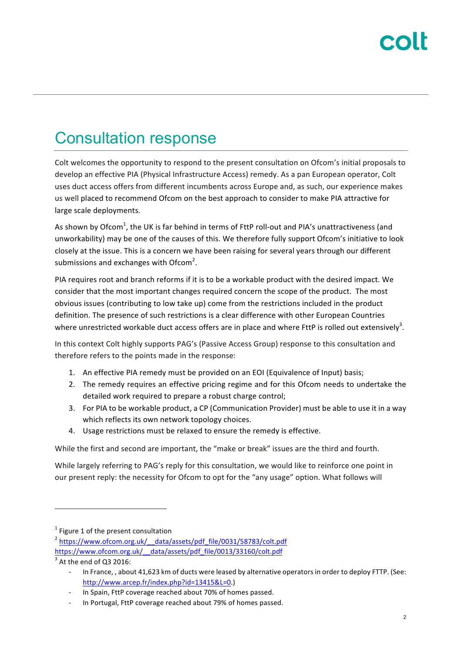# Consultation response

Colt welcomes the opportunity to respond to the present consultation on Ofcom's initial proposals to develop an effective PIA (Physical Infrastructure Access) remedy. As a pan European operator, Colt uses duct access offers from different incumbents across Europe and, as such, our experience makes us well placed to recommend Ofcom on the best approach to consider to make PIA attractive for large scale deployments.

As shown by Ofcom<sup>1</sup>, the UK is far behind in terms of FttP roll-out and PIA's unattractiveness (and unworkability) may be one of the causes of this. We therefore fully support Ofcom's initiative to look closely at the issue. This is a concern we have been raising for several years through our different submissions and exchanges with Ofcom<sup>2</sup>.

PIA requires root and branch reforms if it is to be a workable product with the desired impact. We consider that the most important changes required concern the scope of the product. The most obvious issues (contributing to low take up) come from the restrictions included in the product definition. The presence of such restrictions is a clear difference with other European Countries where unrestricted workable duct access offers are in place and where FttP is rolled out extensively<sup>3</sup>.

In this context Colt highly supports PAG's (Passive Access Group) response to this consultation and therefore refers to the points made in the response:

- 1. An effective PIA remedy must be provided on an EOI (Equivalence of Input) basis;
- 2. The remedy requires an effective pricing regime and for this Ofcom needs to undertake the detailed work required to prepare a robust charge control;
- 3. For PIA to be workable product, a CP (Communication Provider) must be able to use it in a way which reflects its own network topology choices.
- 4. Usage restrictions must be relaxed to ensure the remedy is effective.

While the first and second are important, the "make or break" issues are the third and fourth.

While largely referring to PAG's reply for this consultation, we would like to reinforce one point in our present reply: the necessity for Ofcom to opt for the "any usage" option. What follows will

 $1$  Figure 1 of the present consultation

<sup>2</sup> https://www.ofcom.org.uk/\_\_data/assets/pdf\_file/0031/58783/colt.pdf 

https://www.ofcom.org.uk/\_\_data/assets/pdf\_file/0013/33160/colt.pdf 

 $3$  At the end of Q3 2016:

In France, , about 41,623 km of ducts were leased by alternative operators in order to deploy FTTP. (See: http://www.arcep.fr/index.php?id=13415&L=0.)

In Spain, FttP coverage reached about 70% of homes passed.

In Portugal, FttP coverage reached about 79% of homes passed.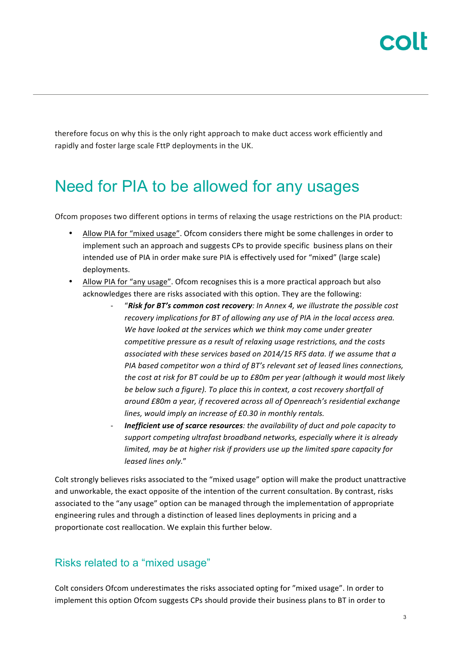therefore focus on why this is the only right approach to make duct access work efficiently and rapidly and foster large scale FttP deployments in the UK.

## Need for PIA to be allowed for any usages

Ofcom proposes two different options in terms of relaxing the usage restrictions on the PIA product:

- Allow PIA for "mixed usage". Ofcom considers there might be some challenges in order to implement such an approach and suggests CPs to provide specific business plans on their intended use of PIA in order make sure PIA is effectively used for "mixed" (large scale) deployments.
- Allow PIA for "any usage". Ofcom recognises this is a more practical approach but also acknowledges there are risks associated with this option. They are the following:
	- "Risk for BT's common cost recovery: In Annex 4, we illustrate the possible cost *recovery implications for BT of allowing any use of PIA in the local access area.* We have looked at the services which we think may come under greater *competitive pressure as a result of relaxing usage restrictions, and the costs* associated with these services based on 2014/15 RFS data. If we assume that a *PIA* based competitor won a third of BT's relevant set of leased lines connections, *the cost at risk for BT could be up to £80m per year (although it would most likely* be below such a figure). To place this in context, a cost recovery shortfall of around £80m a year, if recovered across all of Openreach's residential exchange lines, would imply an increase of £0.30 in monthly rentals.
	- **Inefficient use of scarce resources**: the availability of duct and pole capacity to support competing ultrafast broadband networks, especially where it is already *limited, may be at higher risk if providers use up the limited spare capacity for leased lines only.*"

Colt strongly believes risks associated to the "mixed usage" option will make the product unattractive and unworkable, the exact opposite of the intention of the current consultation. By contrast, risks associated to the "any usage" option can be managed through the implementation of appropriate engineering rules and through a distinction of leased lines deployments in pricing and a proportionate cost reallocation. We explain this further below.

### Risks related to a "mixed usage"

Colt considers Ofcom underestimates the risks associated opting for "mixed usage". In order to implement this option Ofcom suggests CPs should provide their business plans to BT in order to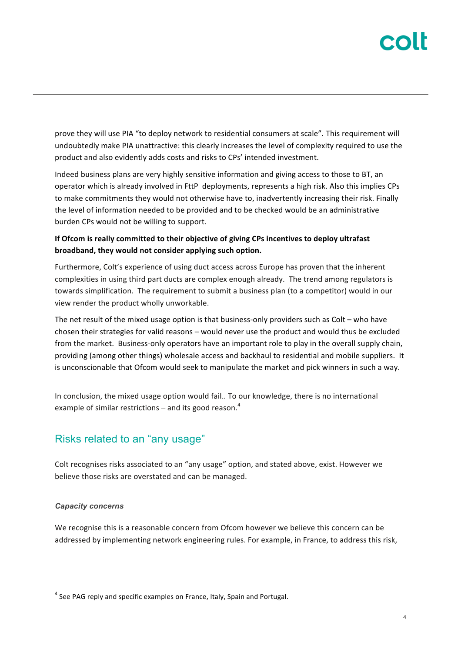prove they will use PIA "to deploy network to residential consumers at scale". This requirement will undoubtedly make PIA unattractive: this clearly increases the level of complexity required to use the product and also evidently adds costs and risks to CPs' intended investment.

Indeed business plans are very highly sensitive information and giving access to those to BT, an operator which is already involved in FttP deployments, represents a high risk. Also this implies CPs to make commitments they would not otherwise have to, inadvertently increasing their risk. Finally the level of information needed to be provided and to be checked would be an administrative burden CPs would not be willing to support.

### **If Ofcom is really committed to their objective of giving CPs incentives to deploy ultrafast** broadband, they would not consider applying such option.

Furthermore, Colt's experience of using duct access across Europe has proven that the inherent complexities in using third part ducts are complex enough already. The trend among regulators is towards simplification. The requirement to submit a business plan (to a competitor) would in our view render the product wholly unworkable.

The net result of the mixed usage option is that business-only providers such as  $\text{Colt}$  – who have chosen their strategies for valid reasons – would never use the product and would thus be excluded from the market. Business-only operators have an important role to play in the overall supply chain, providing (among other things) wholesale access and backhaul to residential and mobile suppliers. It is unconscionable that Ofcom would seek to manipulate the market and pick winners in such a way.

In conclusion, the mixed usage option would fail.. To our knowledge, there is no international example of similar restrictions – and its good reason.<sup>4</sup>

### Risks related to an "any usage"

Colt recognises risks associated to an "any usage" option, and stated above, exist. However we believe those risks are overstated and can be managed.

### *Capacity concerns*

 $\overline{a}$ 

We recognise this is a reasonable concern from Ofcom however we believe this concern can be addressed by implementing network engineering rules. For example, in France, to address this risk,

 $4$  See PAG reply and specific examples on France, Italy, Spain and Portugal.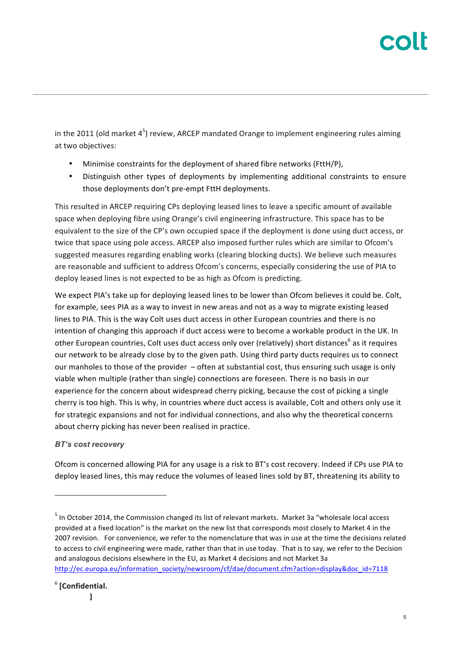in the 2011 (old market  $4^5$ ) review, ARCEP mandated Orange to implement engineering rules aiming at two objectives:

- Minimise constraints for the deployment of shared fibre networks (FttH/P),
- Distinguish other types of deployments by implementing additional constraints to ensure those deployments don't pre-empt FttH deployments.

This resulted in ARCEP requiring CPs deploying leased lines to leave a specific amount of available space when deploying fibre using Orange's civil engineering infrastructure. This space has to be equivalent to the size of the CP's own occupied space if the deployment is done using duct access, or twice that space using pole access. ARCEP also imposed further rules which are similar to Ofcom's suggested measures regarding enabling works (clearing blocking ducts). We believe such measures are reasonable and sufficient to address Ofcom's concerns, especially considering the use of PIA to deploy leased lines is not expected to be as high as Ofcom is predicting.

We expect PIA's take up for deploying leased lines to be lower than Ofcom believes it could be. Colt, for example, sees PIA as a way to invest in new areas and not as a way to migrate existing leased lines to PIA. This is the way Colt uses duct access in other European countries and there is no intention of changing this approach if duct access were to become a workable product in the UK. In other European countries, Colt uses duct access only over (relatively) short distances<sup>6</sup> as it requires our network to be already close by to the given path. Using third party ducts requires us to connect our manholes to those of the provider  $-$  often at substantial cost, thus ensuring such usage is only viable when multiple (rather than single) connections are foreseen. There is no basis in our experience for the concern about widespread cherry picking, because the cost of picking a single cherry is too high. This is why, in countries where duct access is available, Colt and others only use it for strategic expansions and not for individual connections, and also why the theoretical concerns about cherry picking has never been realised in practice.

### *BT's cost recovery*

Ofcom is concerned allowing PIA for any usage is a risk to BT's cost recovery. Indeed if CPs use PIA to deploy leased lines, this may reduce the volumes of leased lines sold by BT, threatening its ability to

 $<sup>5</sup>$  In October 2014, the Commission changed its list of relevant markets. Market 3a "wholesale local access</sup> provided at a fixed location" is the market on the new list that corresponds most closely to Market 4 in the 2007 revision. For convenience, we refer to the nomenclature that was in use at the time the decisions related to access to civil engineering were made, rather than that in use today. That is to say, we refer to the Decision and analogous decisions elsewhere in the EU, as Market 4 decisions and not Market 3a http://ec.europa.eu/information\_society/newsroom/cf/dae/document.cfm?action=display&doc\_id=7118

<sup>6</sup> **[Confidential.** 

**]**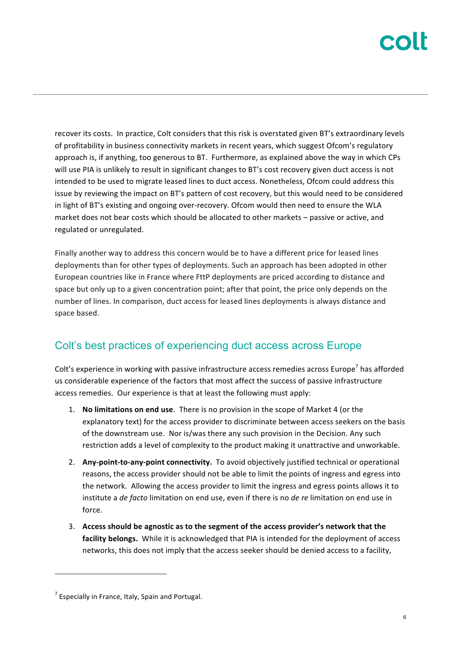recover its costs. In practice, Colt considers that this risk is overstated given BT's extraordinary levels of profitability in business connectivity markets in recent years, which suggest Ofcom's regulatory approach is, if anything, too generous to BT. Furthermore, as explained above the way in which CPs will use PIA is unlikely to result in significant changes to BT's cost recovery given duct access is not intended to be used to migrate leased lines to duct access. Nonetheless, Ofcom could address this issue by reviewing the impact on BT's pattern of cost recovery, but this would need to be considered in light of BT's existing and ongoing over-recovery. Ofcom would then need to ensure the WLA market does not bear costs which should be allocated to other markets – passive or active, and regulated or unregulated.

Finally another way to address this concern would be to have a different price for leased lines deployments than for other types of deployments. Such an approach has been adopted in other European countries like in France where FttP deployments are priced according to distance and space but only up to a given concentration point; after that point, the price only depends on the number of lines. In comparison, duct access for leased lines deployments is always distance and space based.

### Colt's best practices of experiencing duct access across Europe

Colt's experience in working with passive infrastructure access remedies across Europe<sup>7</sup> has afforded us considerable experience of the factors that most affect the success of passive infrastructure access remedies. Our experience is that at least the following must apply:

- 1. **No limitations on end use**. There is no provision in the scope of Market 4 (or the explanatory text) for the access provider to discriminate between access seekers on the basis of the downstream use. Nor is/was there any such provision in the Decision. Any such restriction adds a level of complexity to the product making it unattractive and unworkable.
- 2. Any-point-to-any-point connectivity. To avoid objectively justified technical or operational reasons, the access provider should not be able to limit the points of ingress and egress into the network. Allowing the access provider to limit the ingress and egress points allows it to institute a *de facto* limitation on end use, even if there is no *de re* limitation on end use in force.
- 3. Access should be agnostic as to the segment of the access provider's network that the **facility belongs.** While it is acknowledged that PIA is intended for the deployment of access networks, this does not imply that the access seeker should be denied access to a facility,

 $7$  Especially in France, Italy, Spain and Portugal.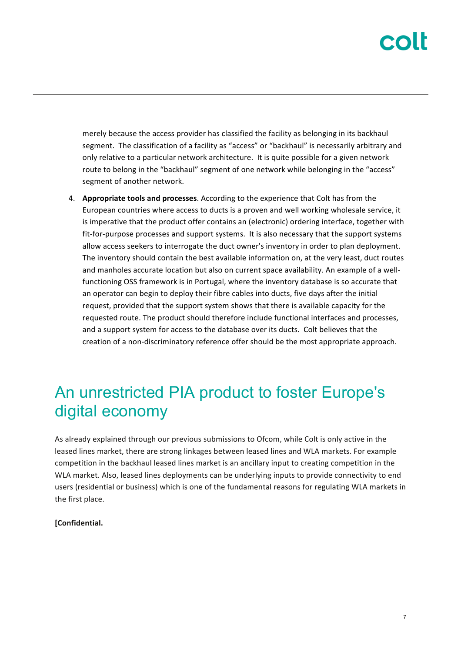merely because the access provider has classified the facility as belonging in its backhaul segment. The classification of a facility as "access" or "backhaul" is necessarily arbitrary and only relative to a particular network architecture. It is quite possible for a given network route to belong in the "backhaul" segment of one network while belonging in the "access" segment of another network.

4. **Appropriate tools and processes**. According to the experience that Colt has from the European countries where access to ducts is a proven and well working wholesale service, it is imperative that the product offer contains an (electronic) ordering interface, together with fit-for-purpose processes and support systems. It is also necessary that the support systems allow access seekers to interrogate the duct owner's inventory in order to plan deployment. The inventory should contain the best available information on, at the very least, duct routes and manholes accurate location but also on current space availability. An example of a wellfunctioning OSS framework is in Portugal, where the inventory database is so accurate that an operator can begin to deploy their fibre cables into ducts, five days after the initial request, provided that the support system shows that there is available capacity for the requested route. The product should therefore include functional interfaces and processes, and a support system for access to the database over its ducts. Colt believes that the creation of a non-discriminatory reference offer should be the most appropriate approach.

## An unrestricted PIA product to foster Europe's digital economy

As already explained through our previous submissions to Ofcom, while Colt is only active in the leased lines market, there are strong linkages between leased lines and WLA markets. For example competition in the backhaul leased lines market is an ancillary input to creating competition in the WLA market. Also, leased lines deployments can be underlying inputs to provide connectivity to end users (residential or business) which is one of the fundamental reasons for regulating WLA markets in the first place.

### **[Confidential.**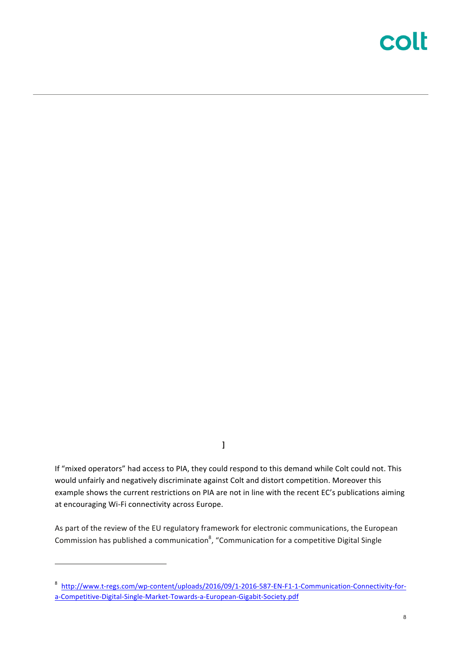# colt

**]**

If "mixed operators" had access to PIA, they could respond to this demand while Colt could not. This would unfairly and negatively discriminate against Colt and distort competition. Moreover this example shows the current restrictions on PIA are not in line with the recent EC's publications aiming at encouraging Wi-Fi connectivity across Europe.

As part of the review of the EU regulatory framework for electronic communications, the European Commission has published a communication<sup>8</sup>, "Communication for a competitive Digital Single

<sup>8</sup> http://www.t-regs.com/wp-content/uploads/2016/09/1-2016-587-EN-F1-1-Communication-Connectivity-fora-Competitive-Digital-Single-Market-Towards-a-European-Gigabit-Society.pdf